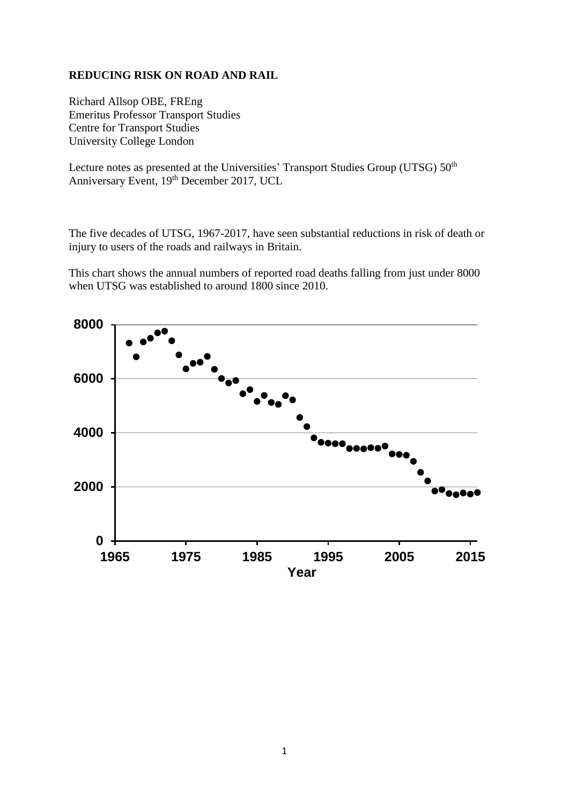## **REDUCING RISK ON ROAD AND RAIL**

Richard Allsop OBE, FREng Emeritus Professor Transport Studies Centre for Transport Studies University College London

Lecture notes as presented at the Universities' Transport Studies Group (UTSG)  $50<sup>th</sup>$ Anniversary Event, 19<sup>th</sup> December 2017, UCL

The five decades of UTSG, 1967-2017, have seen substantial reductions in risk of death or injury to users of the roads and railways in Britain.

This chart shows the annual numbers of reported road deaths falling from just under 8000 when UTSG was established to around 1800 since 2010.

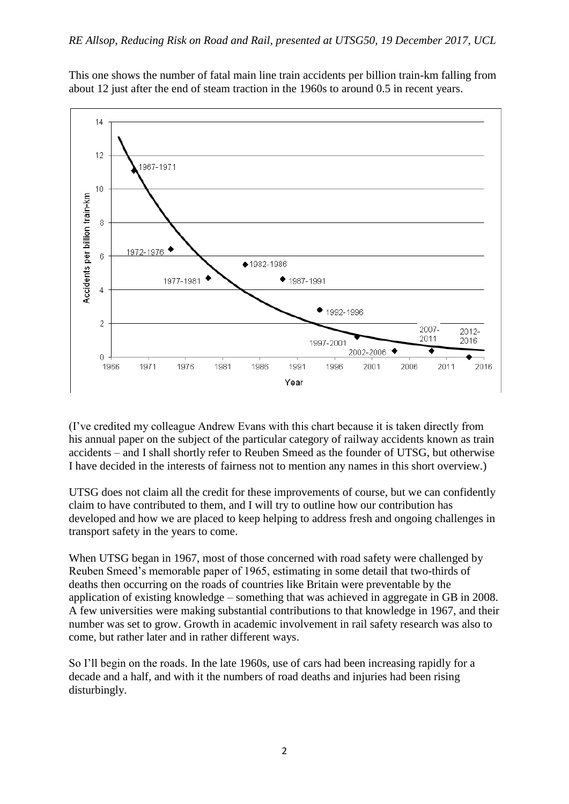This one shows the number of fatal main line train accidents per billion train-km falling from about 12 just after the end of steam traction in the 1960s to around 0.5 in recent years.



(I've credited my colleague Andrew Evans with this chart because it is taken directly from his annual paper on the subject of the particular category of railway accidents known as train accidents – and I shall shortly refer to Reuben Smeed as the founder of UTSG, but otherwise I have decided in the interests of fairness not to mention any names in this short overview.)

UTSG does not claim all the credit for these improvements of course, but we can confidently claim to have contributed to them, and I will try to outline how our contribution has developed and how we are placed to keep helping to address fresh and ongoing challenges in transport safety in the years to come.

When UTSG began in 1967, most of those concerned with road safety were challenged by Reuben Smeed's memorable paper of 1965, estimating in some detail that two-thirds of deaths then occurring on the roads of countries like Britain were preventable by the application of existing knowledge – something that was achieved in aggregate in GB in 2008. A few universities were making substantial contributions to that knowledge in 1967, and their number was set to grow. Growth in academic involvement in rail safety research was also to come, but rather later and in rather different ways.

So I'll begin on the roads. In the late 1960s, use of cars had been increasing rapidly for a decade and a half, and with it the numbers of road deaths and injuries had been rising disturbingly.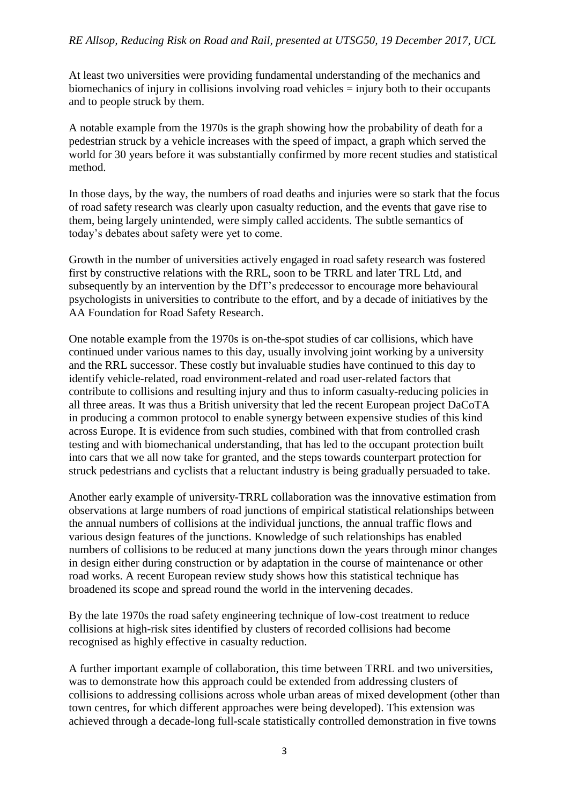At least two universities were providing fundamental understanding of the mechanics and biomechanics of injury in collisions involving road vehicles = injury both to their occupants and to people struck by them.

A notable example from the 1970s is the graph showing how the probability of death for a pedestrian struck by a vehicle increases with the speed of impact, a graph which served the world for 30 years before it was substantially confirmed by more recent studies and statistical method.

In those days, by the way, the numbers of road deaths and injuries were so stark that the focus of road safety research was clearly upon casualty reduction, and the events that gave rise to them, being largely unintended, were simply called accidents. The subtle semantics of today's debates about safety were yet to come.

Growth in the number of universities actively engaged in road safety research was fostered first by constructive relations with the RRL, soon to be TRRL and later TRL Ltd, and subsequently by an intervention by the DfT's predecessor to encourage more behavioural psychologists in universities to contribute to the effort, and by a decade of initiatives by the AA Foundation for Road Safety Research.

One notable example from the 1970s is on-the-spot studies of car collisions, which have continued under various names to this day, usually involving joint working by a university and the RRL successor. These costly but invaluable studies have continued to this day to identify vehicle-related, road environment-related and road user-related factors that contribute to collisions and resulting injury and thus to inform casualty-reducing policies in all three areas. It was thus a British university that led the recent European project DaCoTA in producing a common protocol to enable synergy between expensive studies of this kind across Europe. It is evidence from such studies, combined with that from controlled crash testing and with biomechanical understanding, that has led to the occupant protection built into cars that we all now take for granted, and the steps towards counterpart protection for struck pedestrians and cyclists that a reluctant industry is being gradually persuaded to take.

Another early example of university-TRRL collaboration was the innovative estimation from observations at large numbers of road junctions of empirical statistical relationships between the annual numbers of collisions at the individual junctions, the annual traffic flows and various design features of the junctions. Knowledge of such relationships has enabled numbers of collisions to be reduced at many junctions down the years through minor changes in design either during construction or by adaptation in the course of maintenance or other road works. A recent European review study shows how this statistical technique has broadened its scope and spread round the world in the intervening decades.

By the late 1970s the road safety engineering technique of low-cost treatment to reduce collisions at high-risk sites identified by clusters of recorded collisions had become recognised as highly effective in casualty reduction.

A further important example of collaboration, this time between TRRL and two universities, was to demonstrate how this approach could be extended from addressing clusters of collisions to addressing collisions across whole urban areas of mixed development (other than town centres, for which different approaches were being developed). This extension was achieved through a decade-long full-scale statistically controlled demonstration in five towns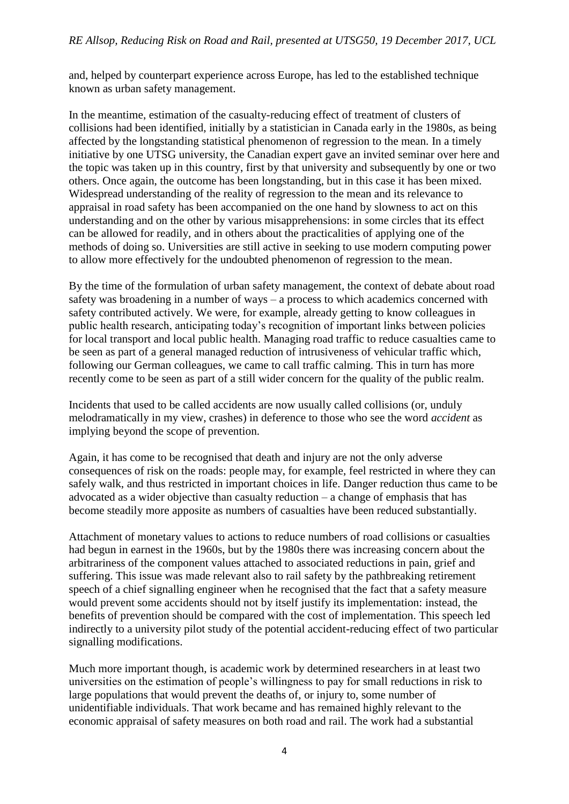and, helped by counterpart experience across Europe, has led to the established technique known as urban safety management.

In the meantime, estimation of the casualty-reducing effect of treatment of clusters of collisions had been identified, initially by a statistician in Canada early in the 1980s, as being affected by the longstanding statistical phenomenon of regression to the mean. In a timely initiative by one UTSG university, the Canadian expert gave an invited seminar over here and the topic was taken up in this country, first by that university and subsequently by one or two others. Once again, the outcome has been longstanding, but in this case it has been mixed. Widespread understanding of the reality of regression to the mean and its relevance to appraisal in road safety has been accompanied on the one hand by slowness to act on this understanding and on the other by various misapprehensions: in some circles that its effect can be allowed for readily, and in others about the practicalities of applying one of the methods of doing so. Universities are still active in seeking to use modern computing power to allow more effectively for the undoubted phenomenon of regression to the mean.

By the time of the formulation of urban safety management, the context of debate about road safety was broadening in a number of ways – a process to which academics concerned with safety contributed actively. We were, for example, already getting to know colleagues in public health research, anticipating today's recognition of important links between policies for local transport and local public health. Managing road traffic to reduce casualties came to be seen as part of a general managed reduction of intrusiveness of vehicular traffic which, following our German colleagues, we came to call traffic calming. This in turn has more recently come to be seen as part of a still wider concern for the quality of the public realm.

Incidents that used to be called accidents are now usually called collisions (or, unduly melodramatically in my view, crashes) in deference to those who see the word *accident* as implying beyond the scope of prevention.

Again, it has come to be recognised that death and injury are not the only adverse consequences of risk on the roads: people may, for example, feel restricted in where they can safely walk, and thus restricted in important choices in life. Danger reduction thus came to be advocated as a wider objective than casualty reduction – a change of emphasis that has become steadily more apposite as numbers of casualties have been reduced substantially.

Attachment of monetary values to actions to reduce numbers of road collisions or casualties had begun in earnest in the 1960s, but by the 1980s there was increasing concern about the arbitrariness of the component values attached to associated reductions in pain, grief and suffering. This issue was made relevant also to rail safety by the pathbreaking retirement speech of a chief signalling engineer when he recognised that the fact that a safety measure would prevent some accidents should not by itself justify its implementation: instead, the benefits of prevention should be compared with the cost of implementation. This speech led indirectly to a university pilot study of the potential accident-reducing effect of two particular signalling modifications.

Much more important though, is academic work by determined researchers in at least two universities on the estimation of people's willingness to pay for small reductions in risk to large populations that would prevent the deaths of, or injury to, some number of unidentifiable individuals. That work became and has remained highly relevant to the economic appraisal of safety measures on both road and rail. The work had a substantial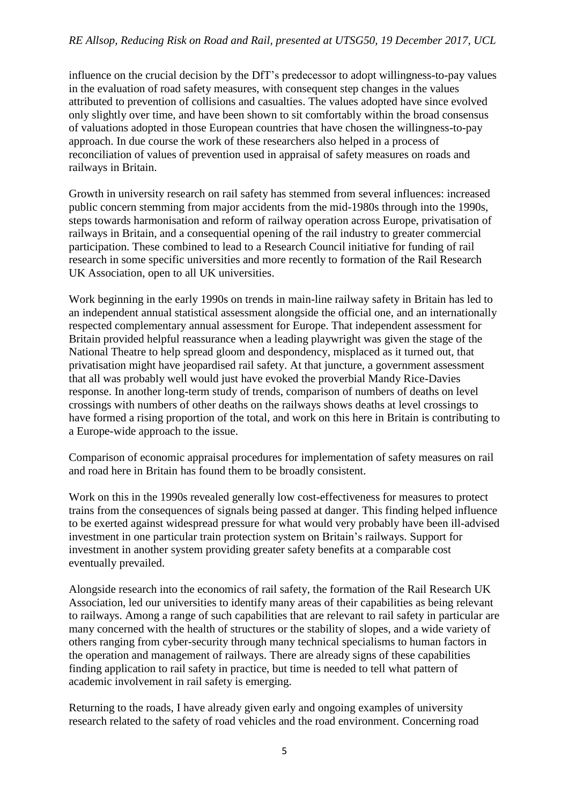## *RE Allsop, Reducing Risk on Road and Rail, presented at UTSG50, 19 December 2017, UCL*

influence on the crucial decision by the DfT's predecessor to adopt willingness-to-pay values in the evaluation of road safety measures, with consequent step changes in the values attributed to prevention of collisions and casualties. The values adopted have since evolved only slightly over time, and have been shown to sit comfortably within the broad consensus of valuations adopted in those European countries that have chosen the willingness-to-pay approach. In due course the work of these researchers also helped in a process of reconciliation of values of prevention used in appraisal of safety measures on roads and railways in Britain.

Growth in university research on rail safety has stemmed from several influences: increased public concern stemming from major accidents from the mid-1980s through into the 1990s, steps towards harmonisation and reform of railway operation across Europe, privatisation of railways in Britain, and a consequential opening of the rail industry to greater commercial participation. These combined to lead to a Research Council initiative for funding of rail research in some specific universities and more recently to formation of the Rail Research UK Association, open to all UK universities.

Work beginning in the early 1990s on trends in main-line railway safety in Britain has led to an independent annual statistical assessment alongside the official one, and an internationally respected complementary annual assessment for Europe. That independent assessment for Britain provided helpful reassurance when a leading playwright was given the stage of the National Theatre to help spread gloom and despondency, misplaced as it turned out, that privatisation might have jeopardised rail safety. At that juncture, a government assessment that all was probably well would just have evoked the proverbial Mandy Rice-Davies response. In another long-term study of trends, comparison of numbers of deaths on level crossings with numbers of other deaths on the railways shows deaths at level crossings to have formed a rising proportion of the total, and work on this here in Britain is contributing to a Europe-wide approach to the issue.

Comparison of economic appraisal procedures for implementation of safety measures on rail and road here in Britain has found them to be broadly consistent.

Work on this in the 1990s revealed generally low cost-effectiveness for measures to protect trains from the consequences of signals being passed at danger. This finding helped influence to be exerted against widespread pressure for what would very probably have been ill-advised investment in one particular train protection system on Britain's railways. Support for investment in another system providing greater safety benefits at a comparable cost eventually prevailed.

Alongside research into the economics of rail safety, the formation of the Rail Research UK Association, led our universities to identify many areas of their capabilities as being relevant to railways. Among a range of such capabilities that are relevant to rail safety in particular are many concerned with the health of structures or the stability of slopes, and a wide variety of others ranging from cyber-security through many technical specialisms to human factors in the operation and management of railways. There are already signs of these capabilities finding application to rail safety in practice, but time is needed to tell what pattern of academic involvement in rail safety is emerging.

Returning to the roads, I have already given early and ongoing examples of university research related to the safety of road vehicles and the road environment. Concerning road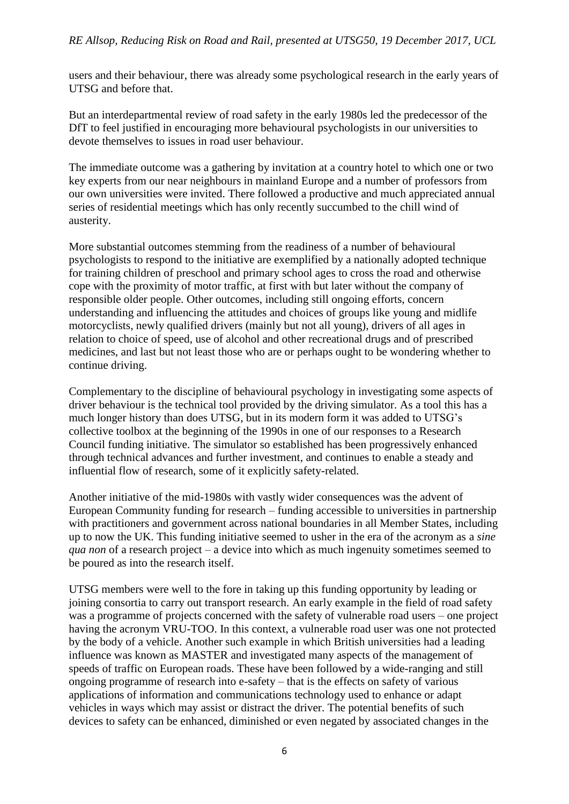users and their behaviour, there was already some psychological research in the early years of UTSG and before that.

But an interdepartmental review of road safety in the early 1980s led the predecessor of the DfT to feel justified in encouraging more behavioural psychologists in our universities to devote themselves to issues in road user behaviour.

The immediate outcome was a gathering by invitation at a country hotel to which one or two key experts from our near neighbours in mainland Europe and a number of professors from our own universities were invited. There followed a productive and much appreciated annual series of residential meetings which has only recently succumbed to the chill wind of austerity.

More substantial outcomes stemming from the readiness of a number of behavioural psychologists to respond to the initiative are exemplified by a nationally adopted technique for training children of preschool and primary school ages to cross the road and otherwise cope with the proximity of motor traffic, at first with but later without the company of responsible older people. Other outcomes, including still ongoing efforts, concern understanding and influencing the attitudes and choices of groups like young and midlife motorcyclists, newly qualified drivers (mainly but not all young), drivers of all ages in relation to choice of speed, use of alcohol and other recreational drugs and of prescribed medicines, and last but not least those who are or perhaps ought to be wondering whether to continue driving.

Complementary to the discipline of behavioural psychology in investigating some aspects of driver behaviour is the technical tool provided by the driving simulator. As a tool this has a much longer history than does UTSG, but in its modern form it was added to UTSG's collective toolbox at the beginning of the 1990s in one of our responses to a Research Council funding initiative. The simulator so established has been progressively enhanced through technical advances and further investment, and continues to enable a steady and influential flow of research, some of it explicitly safety-related.

Another initiative of the mid-1980s with vastly wider consequences was the advent of European Community funding for research – funding accessible to universities in partnership with practitioners and government across national boundaries in all Member States, including up to now the UK. This funding initiative seemed to usher in the era of the acronym as a *sine qua non* of a research project – a device into which as much ingenuity sometimes seemed to be poured as into the research itself.

UTSG members were well to the fore in taking up this funding opportunity by leading or joining consortia to carry out transport research. An early example in the field of road safety was a programme of projects concerned with the safety of vulnerable road users – one project having the acronym VRU-TOO. In this context, a vulnerable road user was one not protected by the body of a vehicle. Another such example in which British universities had a leading influence was known as MASTER and investigated many aspects of the management of speeds of traffic on European roads. These have been followed by a wide-ranging and still ongoing programme of research into e-safety – that is the effects on safety of various applications of information and communications technology used to enhance or adapt vehicles in ways which may assist or distract the driver. The potential benefits of such devices to safety can be enhanced, diminished or even negated by associated changes in the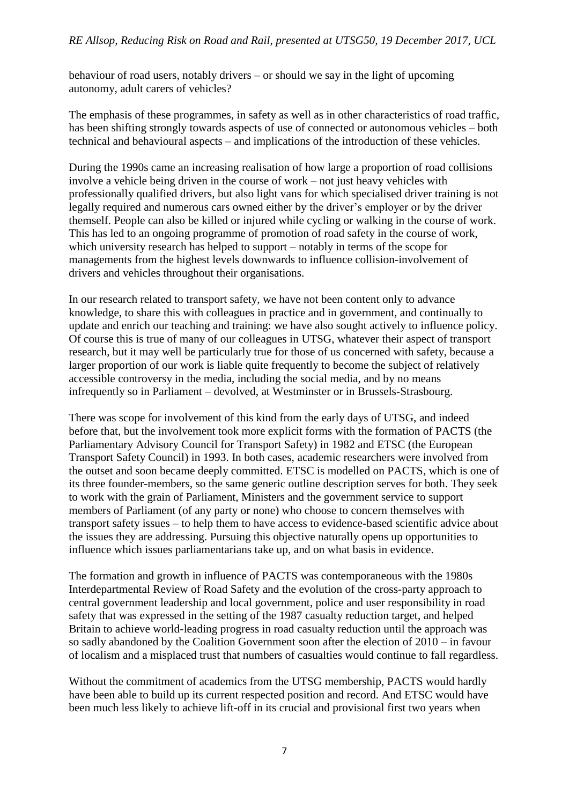behaviour of road users, notably drivers – or should we say in the light of upcoming autonomy, adult carers of vehicles?

The emphasis of these programmes, in safety as well as in other characteristics of road traffic, has been shifting strongly towards aspects of use of connected or autonomous vehicles – both technical and behavioural aspects – and implications of the introduction of these vehicles.

During the 1990s came an increasing realisation of how large a proportion of road collisions involve a vehicle being driven in the course of work – not just heavy vehicles with professionally qualified drivers, but also light vans for which specialised driver training is not legally required and numerous cars owned either by the driver's employer or by the driver themself. People can also be killed or injured while cycling or walking in the course of work. This has led to an ongoing programme of promotion of road safety in the course of work, which university research has helped to support – notably in terms of the scope for managements from the highest levels downwards to influence collision-involvement of drivers and vehicles throughout their organisations.

In our research related to transport safety, we have not been content only to advance knowledge, to share this with colleagues in practice and in government, and continually to update and enrich our teaching and training: we have also sought actively to influence policy. Of course this is true of many of our colleagues in UTSG, whatever their aspect of transport research, but it may well be particularly true for those of us concerned with safety, because a larger proportion of our work is liable quite frequently to become the subject of relatively accessible controversy in the media, including the social media, and by no means infrequently so in Parliament – devolved, at Westminster or in Brussels-Strasbourg.

There was scope for involvement of this kind from the early days of UTSG, and indeed before that, but the involvement took more explicit forms with the formation of PACTS (the Parliamentary Advisory Council for Transport Safety) in 1982 and ETSC (the European Transport Safety Council) in 1993. In both cases, academic researchers were involved from the outset and soon became deeply committed. ETSC is modelled on PACTS, which is one of its three founder-members, so the same generic outline description serves for both. They seek to work with the grain of Parliament, Ministers and the government service to support members of Parliament (of any party or none) who choose to concern themselves with transport safety issues – to help them to have access to evidence-based scientific advice about the issues they are addressing. Pursuing this objective naturally opens up opportunities to influence which issues parliamentarians take up, and on what basis in evidence.

The formation and growth in influence of PACTS was contemporaneous with the 1980s Interdepartmental Review of Road Safety and the evolution of the cross-party approach to central government leadership and local government, police and user responsibility in road safety that was expressed in the setting of the 1987 casualty reduction target, and helped Britain to achieve world-leading progress in road casualty reduction until the approach was so sadly abandoned by the Coalition Government soon after the election of 2010 – in favour of localism and a misplaced trust that numbers of casualties would continue to fall regardless.

Without the commitment of academics from the UTSG membership, PACTS would hardly have been able to build up its current respected position and record. And ETSC would have been much less likely to achieve lift-off in its crucial and provisional first two years when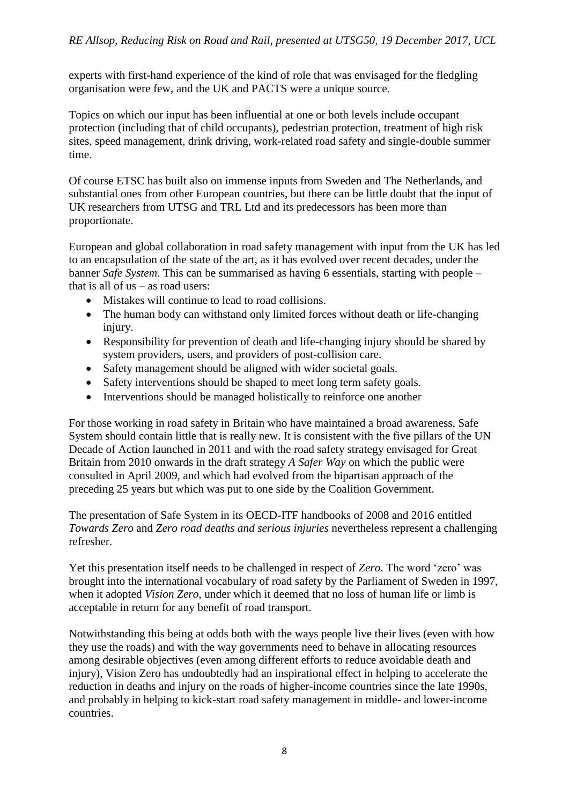experts with first-hand experience of the kind of role that was envisaged for the fledgling organisation were few, and the UK and PACTS were a unique source.

Topics on which our input has been influential at one or both levels include occupant protection (including that of child occupants), pedestrian protection, treatment of high risk sites, speed management, drink driving, work-related road safety and single-double summer time.

Of course ETSC has built also on immense inputs from Sweden and The Netherlands, and substantial ones from other European countries, but there can be little doubt that the input of UK researchers from UTSG and TRL Ltd and its predecessors has been more than proportionate.

European and global collaboration in road safety management with input from the UK has led to an encapsulation of the state of the art, as it has evolved over recent decades, under the banner *Safe System*. This can be summarised as having 6 essentials, starting with people – that is all of us – as road users:

- Mistakes will continue to lead to road collisions.
- The human body can withstand only limited forces without death or life-changing injury.
- Responsibility for prevention of death and life-changing injury should be shared by system providers, users, and providers of post-collision care.
- Safety management should be aligned with wider societal goals.
- Safety interventions should be shaped to meet long term safety goals.
- Interventions should be managed holistically to reinforce one another

For those working in road safety in Britain who have maintained a broad awareness, Safe System should contain little that is really new. It is consistent with the five pillars of the UN Decade of Action launched in 2011 and with the road safety strategy envisaged for Great Britain from 2010 onwards in the draft strategy *A Safer Way* on which the public were consulted in April 2009, and which had evolved from the bipartisan approach of the preceding 25 years but which was put to one side by the Coalition Government.

The presentation of Safe System in its OECD-ITF handbooks of 2008 and 2016 entitled *Towards Zero* and *Zero road deaths and serious injuries* nevertheless represent a challenging refresher.

Yet this presentation itself needs to be challenged in respect of *Zero*. The word 'zero' was brought into the international vocabulary of road safety by the Parliament of Sweden in 1997, when it adopted *Vision Zero,* under which it deemed that no loss of human life or limb is acceptable in return for any benefit of road transport.

Notwithstanding this being at odds both with the ways people live their lives (even with how they use the roads) and with the way governments need to behave in allocating resources among desirable objectives (even among different efforts to reduce avoidable death and injury), Vision Zero has undoubtedly had an inspirational effect in helping to accelerate the reduction in deaths and injury on the roads of higher-income countries since the late 1990s, and probably in helping to kick-start road safety management in middle- and lower-income countries.